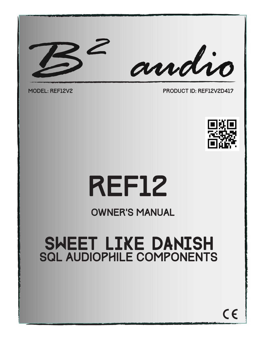



model: REF12V2 PRODUCT ID: REF12V2D417



# ref12

#### OWNER'S MANUAL

### SWEET LIKE DANISH **SQL AUDIOPHILE COMPONENTS**